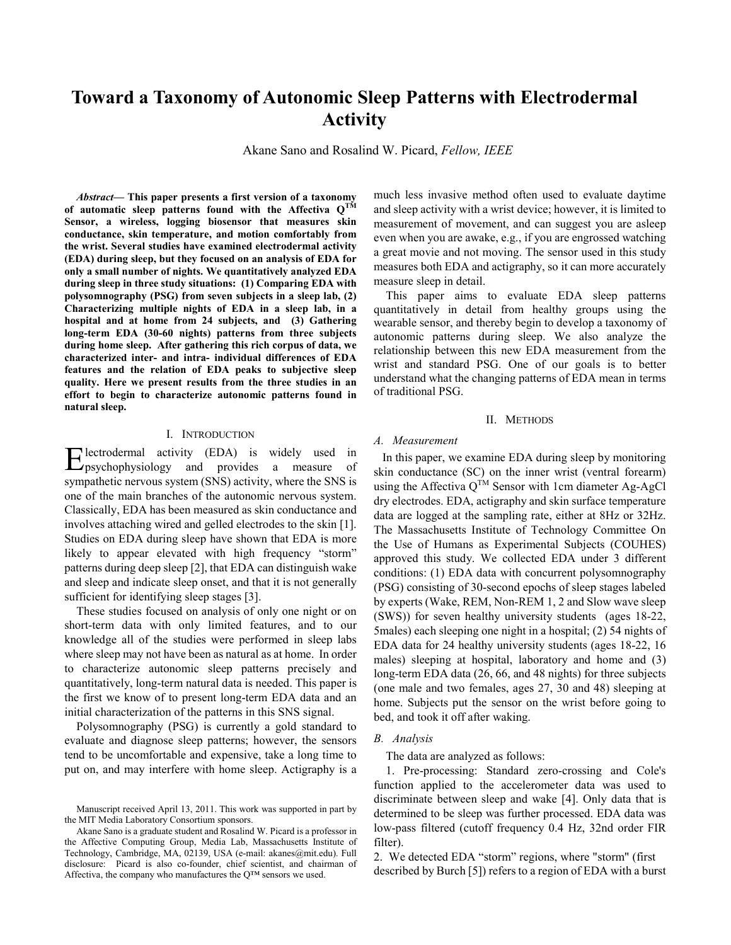# **Toward a Taxonomy of Autonomic Sleep Patterns with Electrodermal Activity**

Akane Sano and Rosalind W. Picard, *Fellow, IEEE*

*Abstract***— This paper presents a first version of a taxonomy of automatic sleep patterns found with the Affectiva QTM Sensor, a wireless, logging biosensor that measures skin conductance, skin temperature, and motion comfortably from the wrist. Several studies have examined electrodermal activity (EDA) during sleep, but they focused on an analysis of EDA for only a small number of nights. We quantitatively analyzed EDA during sleep in three study situations: (1) Comparing EDA with polysomnography (PSG) from seven subjects in a sleep lab, (2) Characterizing multiple nights of EDA in a sleep lab, in a hospital and at home from 24 subjects, and (3) Gathering long-term EDA (30-60 nights) patterns from three subjects during home sleep. After gathering this rich corpus of data, we characterized inter- and intra- individual differences of EDA features and the relation of EDA peaks to subjective sleep quality. Here we present results from the three studies in an effort to begin to characterize autonomic patterns found in natural sleep.** 

# I. INTRODUCTION

lectrodermal activity (EDA) is widely used in Electrodermal activity (EDA) is widely used in provides a measure of sympathetic nervous system (SNS) activity, where the SNS is one of the main branches of the autonomic nervous system. Classically, EDA has been measured as skin conductance and involves attaching wired and gelled electrodes to the skin [1]. Studies on EDA during sleep have shown that EDA is more likely to appear elevated with high frequency "storm" patterns during deep sleep [2], that EDA can distinguish wake and sleep and indicate sleep onset, and that it is not generally sufficient for identifying sleep stages [3].

These studies focused on analysis of only one night or on short-term data with only limited features, and to our knowledge all of the studies were performed in sleep labs where sleep may not have been as natural as at home. In order to characterize autonomic sleep patterns precisely and quantitatively, long-term natural data is needed. This paper is the first we know of to present long-term EDA data and an initial characterization of the patterns in this SNS signal.

Polysomnography (PSG) is currently a gold standard to evaluate and diagnose sleep patterns; however, the sensors tend to be uncomfortable and expensive, take a long time to put on, and may interfere with home sleep. Actigraphy is a much less invasive method often used to evaluate daytime and sleep activity with a wrist device; however, it is limited to measurement of movement, and can suggest you are asleep even when you are awake, e.g., if you are engrossed watching a great movie and not moving. The sensor used in this study measures both EDA and actigraphy, so it can more accurately measure sleep in detail.

This paper aims to evaluate EDA sleep patterns quantitatively in detail from healthy groups using the wearable sensor, and thereby begin to develop a taxonomy of autonomic patterns during sleep. We also analyze the relationship between this new EDA measurement from the wrist and standard PSG. One of our goals is to better understand what the changing patterns of EDA mean in terms of traditional PSG.

# II. METHODS

# *A. Measurement*

In this paper, we examine EDA during sleep by monitoring skin conductance (SC) on the inner wrist (ventral forearm) using the Affectiva  $Q^{TM}$  Sensor with 1cm diameter Ag-AgCl dry electrodes. EDA, actigraphy and skin surface temperature data are logged at the sampling rate, either at 8Hz or 32Hz. The Massachusetts Institute of Technology Committee On the Use of Humans as Experimental Subjects (COUHES) approved this study. We collected EDA under 3 different conditions: (1) EDA data with concurrent polysomnography (PSG) consisting of 30-second epochs of sleep stages labeled by experts (Wake, REM, Non-REM 1, 2 and Slow wave sleep (SWS)) for seven healthy university students (ages 18-22, 5males) each sleeping one night in a hospital; (2) 54 nights of EDA data for 24 healthy university students (ages 18-22, 16 males) sleeping at hospital, laboratory and home and (3) long-term EDA data (26, 66, and 48 nights) for three subjects (one male and two females, ages 27, 30 and 48) sleeping at home. Subjects put the sensor on the wrist before going to bed, and took it off after waking.

# *B. Analysis*

The data are analyzed as follows:

1. Pre-processing: Standard zero-crossing and Cole's function applied to the accelerometer data was used to discriminate between sleep and wake [4]. Only data that is determined to be sleep was further processed. EDA data was low-pass filtered (cutoff frequency 0.4 Hz, 32nd order FIR filter).

2. We detected EDA "storm" regions, where "storm" (first described by Burch [5]) refers to a region of EDA with a burst

Manuscript received April 13, 2011. This work was supported in part by the MIT Media Laboratory Consortium sponsors.

Akane Sano is a graduate student and Rosalind W. Picard is a professor in the Affective Computing Group, Media Lab, Massachusetts Institute of Technology, Cambridge, MA, 02139, USA (e-mail: akanes@mit.edu). Full disclosure: Picard is also co-founder, chief scientist, and chairman of Affectiva, the company who manufactures the Q™ sensors we used.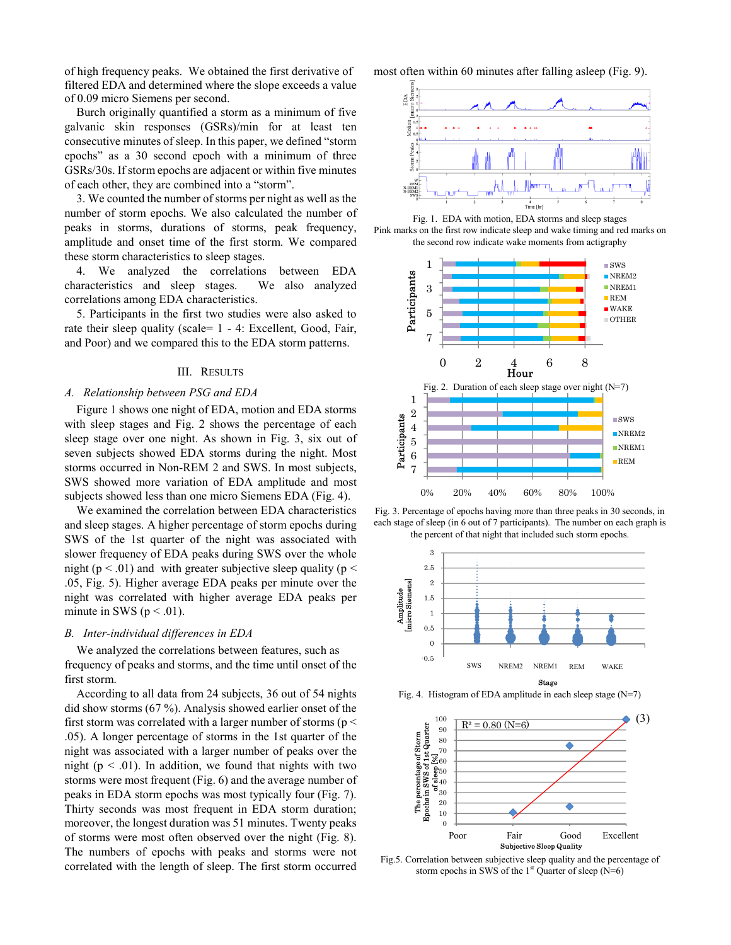of high frequency peaks. We obtained the first derivative of filtered EDA and determined where the slope exceeds a value of 0.09 micro Siemens per second.

Burch originally quantified a storm as a minimum of five galvanic skin responses (GSRs)/min for at least ten consecutive minutes of sleep. In this paper, we defined "storm epochs" as a 30 second epoch with a minimum of three GSRs/30s. If storm epochs are adjacent or within five minutes of each other, they are combined into a "storm".

3. We counted the number of storms per night as well as the number of storm epochs. We also calculated the number of peaks in storms, durations of storms, peak frequency, amplitude and onset time of the first storm. We compared these storm characteristics to sleep stages.

4. We analyzed the correlations between EDA characteristics and sleep stages. We also analyzed correlations among EDA characteristics.

5. Participants in the first two studies were also asked to rate their sleep quality (scale= 1 - 4: Excellent, Good, Fair, and Poor) and we compared this to the EDA storm patterns.

# III. RESULTS

# *A. Relationship between PSG and EDA*

Figure 1 shows one night of EDA, motion and EDA storms with sleep stages and Fig. 2 shows the percentage of each sleep stage over one night. As shown in Fig. 3, six out of seven subjects showed EDA storms during the night. Most storms occurred in Non-REM 2 and SWS. In most subjects, SWS showed more variation of EDA amplitude and most subjects showed less than one micro Siemens EDA (Fig. 4).

We examined the correlation between EDA characteristics and sleep stages. A higher percentage of storm epochs during SWS of the 1st quarter of the night was associated with slower frequency of EDA peaks during SWS over the whole night ( $p < .01$ ) and with greater subjective sleep quality ( $p <$ .05, Fig. 5). Higher average EDA peaks per minute over the night was correlated with higher average EDA peaks per minute in SWS ( $p < .01$ ).

# *B. Inter-individual differences in EDA*

We analyzed the correlations between features, such as frequency of peaks and storms, and the time until onset of the first storm.

According to all data from 24 subjects, 36 out of 54 nights did show storms (67 %). Analysis showed earlier onset of the first storm was correlated with a larger number of storms ( $p <$ .05). A longer percentage of storms in the 1st quarter of the night was associated with a larger number of peaks over the night ( $p < .01$ ). In addition, we found that nights with two storms were most frequent (Fig. 6) and the average number of peaks in EDA storm epochs was most typically four (Fig. 7). Thirty seconds was most frequent in EDA storm duration; moreover, the longest duration was 51 minutes. Twenty peaks of storms were most often observed over the night (Fig. 8). The numbers of epochs with peaks and storms were not correlated with the length of sleep. The first storm occurred most often within 60 minutes after falling asleep (Fig. 9).







Fig. 3. Percentage of epochs having more than three peaks in 30 seconds, in each stage of sleep (in 6 out of 7 participants). The number on each graph is the percent of that night that included such storm epochs.



Fig. 4. Histogram of EDA amplitude in each sleep stage (N=7)



Fig.5. Correlation between subjective sleep quality and the percentage of storm epochs in SWS of the  $1<sup>st</sup>$  Quarter of sleep (N=6)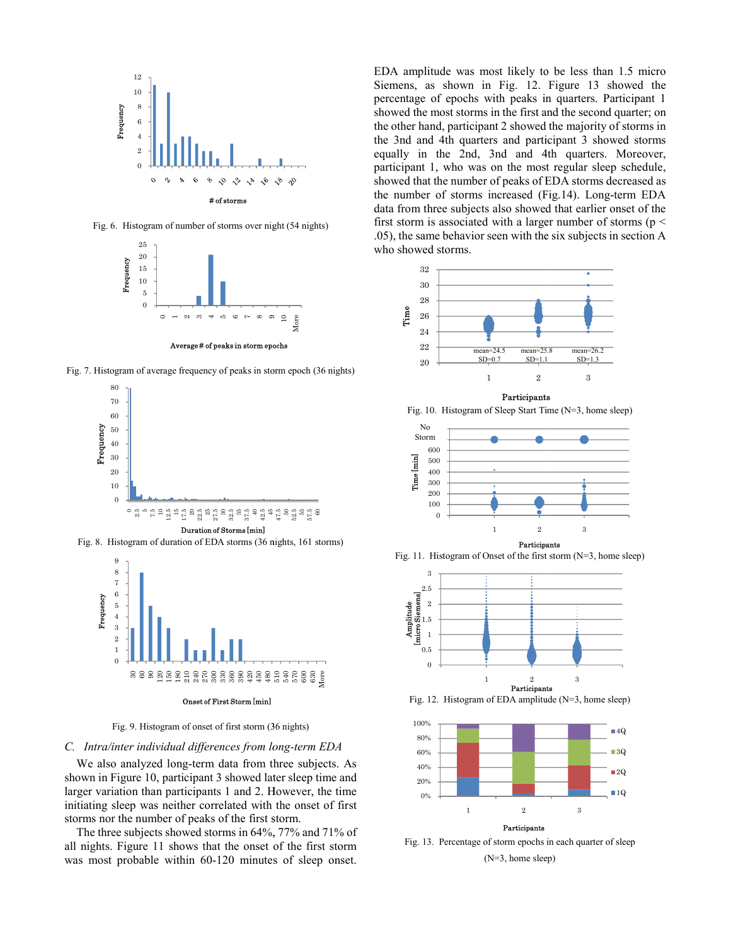

Fig. 6. Histogram of number of storms over night (54 nights)



Fig. 7. Histogram of average frequency of peaks in storm epoch (36 nights)



Fig. 8. Histogram of duration of EDA storms (36 nights, 161 storms)



Fig. 9. Histogram of onset of first storm (3 36 nights)

# C. Intra/inter individual differences from long-term EDA

We also analyzed long-term data from three subjects. As shown in Figure 10, participant 3 showed later sleep time and larger variation than participants 1 and 2. However, the time initiating sleep was neither correlated with the onset of first storms nor the number of peaks of the first s storm.

The three subjects showed storms in 64%, 77% and 71% of all nights. Figure 11 shows that the onset of the first storm was most probable within 60-120 minute s of sleep onset.

EDA amplitude was most likely to be less than 1.5 micro Siemens, as shown in Fig. 12. Figure 13 showed the percentage of epochs with peaks in quarters. Participant 1 showed the most storms in the first and the second quarter; on the other hand, participant 2 showed d the majority of storms in the 3nd and 4th quarters and parti icipant 3 showed storms equally in the 2nd, 3nd and 4 4th quarters. Moreover, participant 1, who was on the mos t regular sleep schedule, showed that the number of peaks of E EDA storms decreased as the number of storms increased (F Fig.14). Long-term EDA data from three subjects also showed that earlier onset of the first storm is associated with a larger number of storms ( $p <$ .05), the same behavior seen with the six subjects in section A who showed storms.



Participants





Fig. 11. Histogram of Onset of the first storm (N=3, home sleep)



Fig. 12. Histogram of EDA amplitude (N=3, home sleep)



Fig. 13. Percentage of storm epochs in each quarter of sleep (N=3, home sleep)